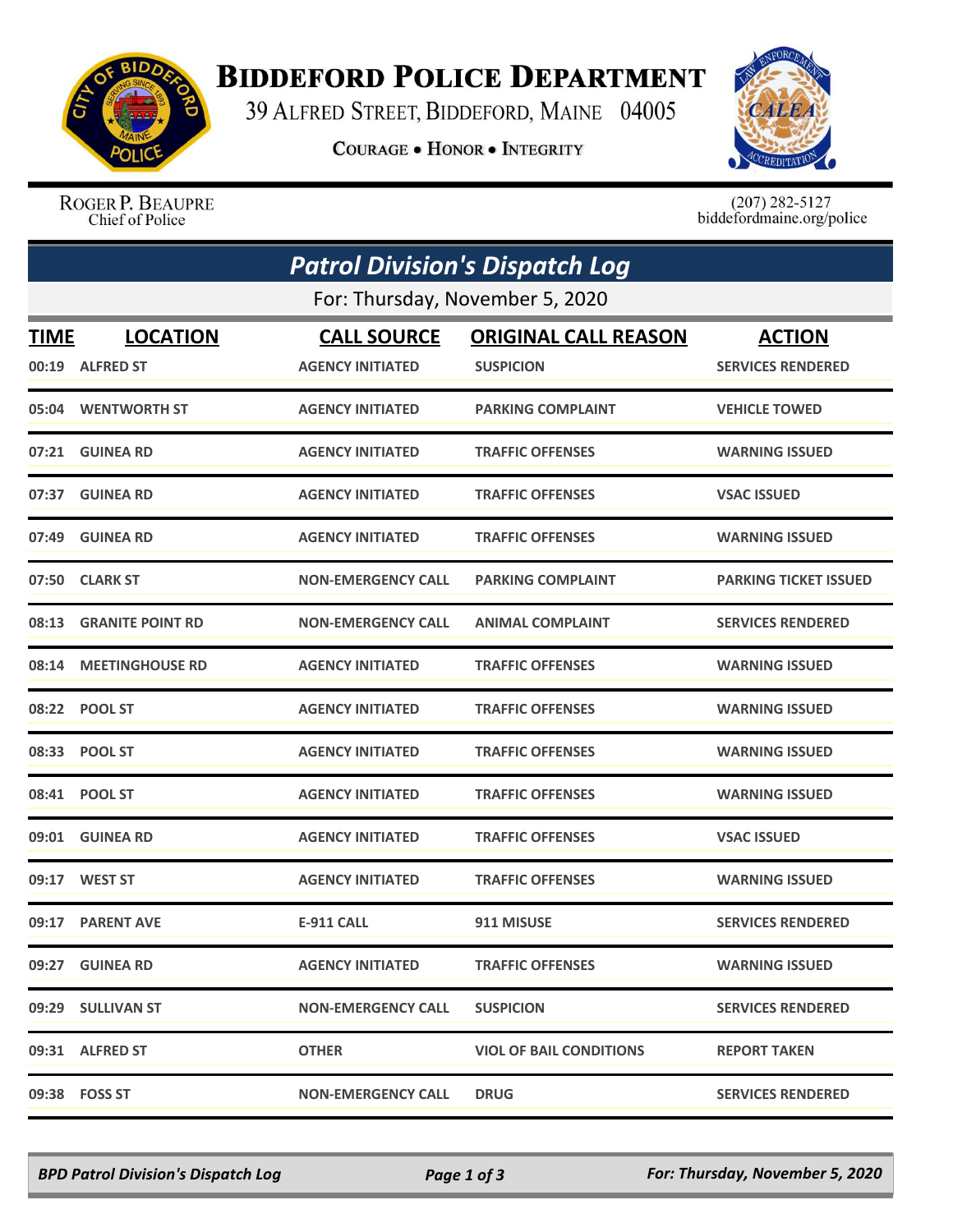

## **BIDDEFORD POLICE DEPARTMENT**

39 ALFRED STREET, BIDDEFORD, MAINE 04005

**COURAGE . HONOR . INTEGRITY** 



ROGER P. BEAUPRE<br>Chief of Police

 $(207)$  282-5127<br>biddefordmaine.org/police

|                                 | <b>Patrol Division's Dispatch Log</b> |                           |                                |                              |  |  |  |
|---------------------------------|---------------------------------------|---------------------------|--------------------------------|------------------------------|--|--|--|
| For: Thursday, November 5, 2020 |                                       |                           |                                |                              |  |  |  |
| TIME                            | <b>LOCATION</b>                       | <b>CALL SOURCE</b>        | <b>ORIGINAL CALL REASON</b>    | <b>ACTION</b>                |  |  |  |
|                                 | 00:19 ALFRED ST                       | <b>AGENCY INITIATED</b>   | <b>SUSPICION</b>               | <b>SERVICES RENDERED</b>     |  |  |  |
|                                 | 05:04 WENTWORTH ST                    | <b>AGENCY INITIATED</b>   | <b>PARKING COMPLAINT</b>       | <b>VEHICLE TOWED</b>         |  |  |  |
|                                 | 07:21 GUINEA RD                       | <b>AGENCY INITIATED</b>   | <b>TRAFFIC OFFENSES</b>        | <b>WARNING ISSUED</b>        |  |  |  |
| 07:37                           | <b>GUINEA RD</b>                      | <b>AGENCY INITIATED</b>   | <b>TRAFFIC OFFENSES</b>        | <b>VSAC ISSUED</b>           |  |  |  |
| 07:49                           | <b>GUINEA RD</b>                      | <b>AGENCY INITIATED</b>   | <b>TRAFFIC OFFENSES</b>        | <b>WARNING ISSUED</b>        |  |  |  |
|                                 | 07:50 CLARK ST                        | <b>NON-EMERGENCY CALL</b> | <b>PARKING COMPLAINT</b>       | <b>PARKING TICKET ISSUED</b> |  |  |  |
|                                 | 08:13 GRANITE POINT RD                | <b>NON-EMERGENCY CALL</b> | <b>ANIMAL COMPLAINT</b>        | <b>SERVICES RENDERED</b>     |  |  |  |
|                                 | 08:14 MEETINGHOUSE RD                 | <b>AGENCY INITIATED</b>   | <b>TRAFFIC OFFENSES</b>        | <b>WARNING ISSUED</b>        |  |  |  |
| 08:22                           | <b>POOL ST</b>                        | <b>AGENCY INITIATED</b>   | <b>TRAFFIC OFFENSES</b>        | <b>WARNING ISSUED</b>        |  |  |  |
|                                 | 08:33 POOL ST                         | <b>AGENCY INITIATED</b>   | <b>TRAFFIC OFFENSES</b>        | <b>WARNING ISSUED</b>        |  |  |  |
|                                 | 08:41 POOL ST                         | <b>AGENCY INITIATED</b>   | <b>TRAFFIC OFFENSES</b>        | <b>WARNING ISSUED</b>        |  |  |  |
| 09:01                           | <b>GUINEA RD</b>                      | <b>AGENCY INITIATED</b>   | <b>TRAFFIC OFFENSES</b>        | <b>VSAC ISSUED</b>           |  |  |  |
|                                 |                                       | <b>AGENCY INITIATED</b>   | <b>TRAFFIC OFFENSES</b>        | <b>WARNING ISSUED</b>        |  |  |  |
|                                 | 09:17 PARENT AVE                      | <b>E-911 CALL</b>         | 911 MISUSE                     | <b>SERVICES RENDERED</b>     |  |  |  |
|                                 | 09:27 GUINEA RD                       | <b>AGENCY INITIATED</b>   | <b>TRAFFIC OFFENSES</b>        | <b>WARNING ISSUED</b>        |  |  |  |
|                                 | 09:29 SULLIVAN ST                     | <b>NON-EMERGENCY CALL</b> | <b>SUSPICION</b>               | <b>SERVICES RENDERED</b>     |  |  |  |
|                                 | 09:31 ALFRED ST                       | <b>OTHER</b>              | <b>VIOL OF BAIL CONDITIONS</b> | <b>REPORT TAKEN</b>          |  |  |  |
|                                 | 09:38 FOSS ST                         | <b>NON-EMERGENCY CALL</b> | <b>DRUG</b>                    | <b>SERVICES RENDERED</b>     |  |  |  |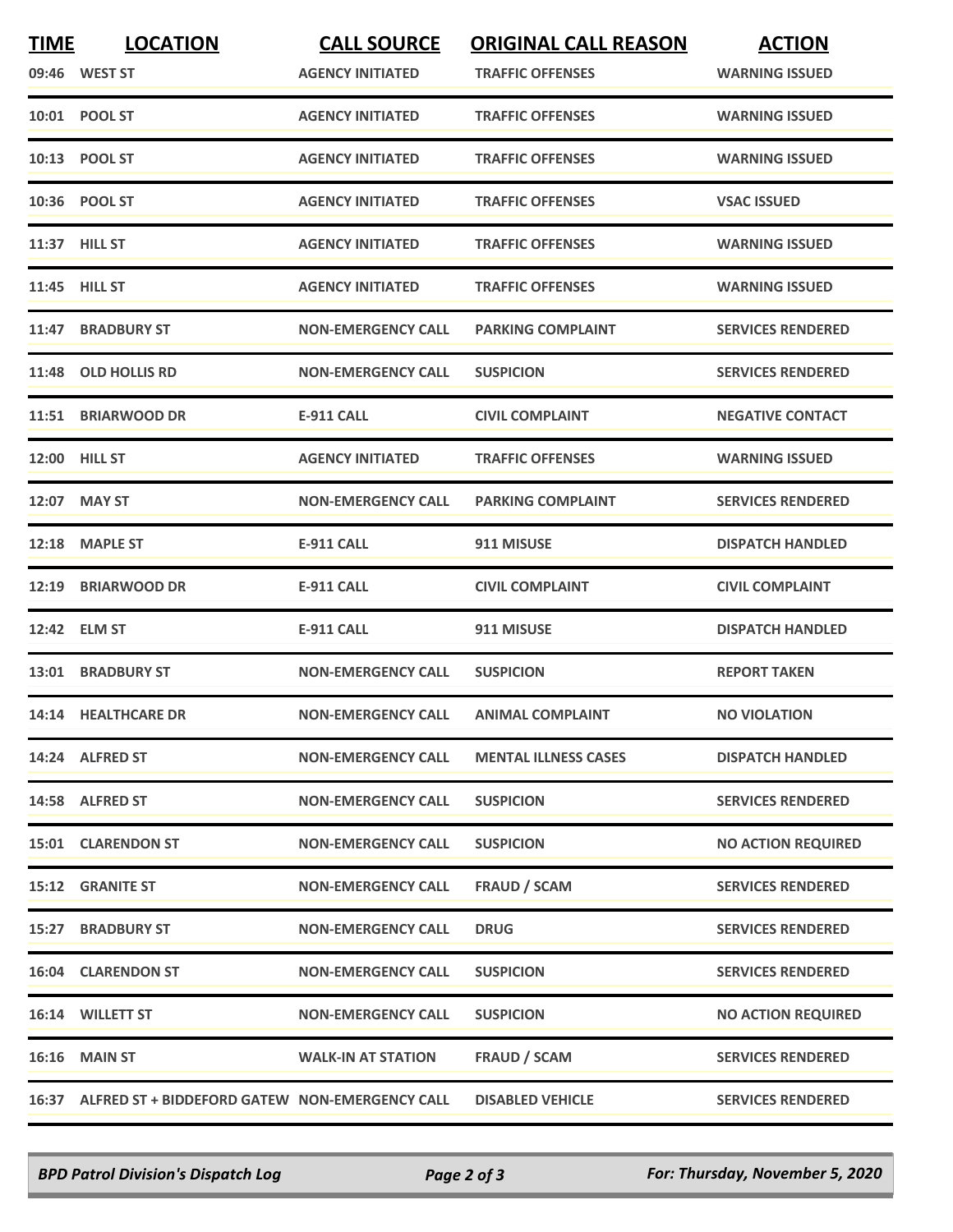| <b>TIME</b> | <b>LOCATION</b>                                      | <b>CALL SOURCE</b>        | <b>ORIGINAL CALL REASON</b> | <b>ACTION</b>             |
|-------------|------------------------------------------------------|---------------------------|-----------------------------|---------------------------|
|             | 09:46 WEST ST                                        | <b>AGENCY INITIATED</b>   | <b>TRAFFIC OFFENSES</b>     | <b>WARNING ISSUED</b>     |
|             | 10:01 POOL ST                                        | <b>AGENCY INITIATED</b>   | <b>TRAFFIC OFFENSES</b>     | <b>WARNING ISSUED</b>     |
|             | 10:13 POOL ST                                        | <b>AGENCY INITIATED</b>   | <b>TRAFFIC OFFENSES</b>     | <b>WARNING ISSUED</b>     |
|             | 10:36 POOL ST                                        | <b>AGENCY INITIATED</b>   | <b>TRAFFIC OFFENSES</b>     | <b>VSAC ISSUED</b>        |
|             | 11:37 HILL ST                                        | <b>AGENCY INITIATED</b>   | <b>TRAFFIC OFFENSES</b>     | <b>WARNING ISSUED</b>     |
|             | 11:45 HILL ST                                        | <b>AGENCY INITIATED</b>   | <b>TRAFFIC OFFENSES</b>     | <b>WARNING ISSUED</b>     |
| 11:47       | <b>BRADBURY ST</b>                                   | <b>NON-EMERGENCY CALL</b> | <b>PARKING COMPLAINT</b>    | <b>SERVICES RENDERED</b>  |
|             | 11:48 OLD HOLLIS RD                                  | <b>NON-EMERGENCY CALL</b> | <b>SUSPICION</b>            | <b>SERVICES RENDERED</b>  |
|             | 11:51 BRIARWOOD DR                                   | <b>E-911 CALL</b>         | <b>CIVIL COMPLAINT</b>      | <b>NEGATIVE CONTACT</b>   |
|             | 12:00 HILL ST                                        | <b>AGENCY INITIATED</b>   | <b>TRAFFIC OFFENSES</b>     | <b>WARNING ISSUED</b>     |
|             | 12:07 MAY ST                                         | <b>NON-EMERGENCY CALL</b> | <b>PARKING COMPLAINT</b>    | <b>SERVICES RENDERED</b>  |
|             | 12:18 MAPLE ST                                       | <b>E-911 CALL</b>         | 911 MISUSE                  | <b>DISPATCH HANDLED</b>   |
|             | 12:19 BRIARWOOD DR                                   | <b>E-911 CALL</b>         | <b>CIVIL COMPLAINT</b>      | <b>CIVIL COMPLAINT</b>    |
|             | 12:42 ELM ST                                         | <b>E-911 CALL</b>         | 911 MISUSE                  | <b>DISPATCH HANDLED</b>   |
|             | 13:01 BRADBURY ST                                    | <b>NON-EMERGENCY CALL</b> | <b>SUSPICION</b>            | <b>REPORT TAKEN</b>       |
|             | 14:14 HEALTHCARE DR                                  | <b>NON-EMERGENCY CALL</b> | <b>ANIMAL COMPLAINT</b>     | <b>NO VIOLATION</b>       |
|             | 14:24 ALFRED ST                                      | <b>NON-EMERGENCY CALL</b> | <b>MENTAL ILLNESS CASES</b> | <b>DISPATCH HANDLED</b>   |
|             | 14:58 ALFRED ST                                      | <b>NON-EMERGENCY CALL</b> | <b>SUSPICION</b>            | <b>SERVICES RENDERED</b>  |
|             | 15:01 CLARENDON ST                                   | <b>NON-EMERGENCY CALL</b> | <b>SUSPICION</b>            | <b>NO ACTION REQUIRED</b> |
|             | 15:12 GRANITE ST                                     | <b>NON-EMERGENCY CALL</b> | <b>FRAUD / SCAM</b>         | <b>SERVICES RENDERED</b>  |
|             | <b>15:27 BRADBURY ST</b>                             | <b>NON-EMERGENCY CALL</b> | <b>DRUG</b>                 | <b>SERVICES RENDERED</b>  |
|             | <b>16:04 CLARENDON ST</b>                            | <b>NON-EMERGENCY CALL</b> | <b>SUSPICION</b>            | <b>SERVICES RENDERED</b>  |
|             | 16:14 WILLETT ST                                     | <b>NON-EMERGENCY CALL</b> | <b>SUSPICION</b>            | <b>NO ACTION REQUIRED</b> |
|             | 16:16 MAIN ST                                        | <b>WALK-IN AT STATION</b> | <b>FRAUD / SCAM</b>         | <b>SERVICES RENDERED</b>  |
|             | 16:37 ALFRED ST + BIDDEFORD GATEW NON-EMERGENCY CALL |                           | <b>DISABLED VEHICLE</b>     | <b>SERVICES RENDERED</b>  |

*BPD Patrol Division's Dispatch Log Page 2 of 3 For: Thursday, November 5, 2020*